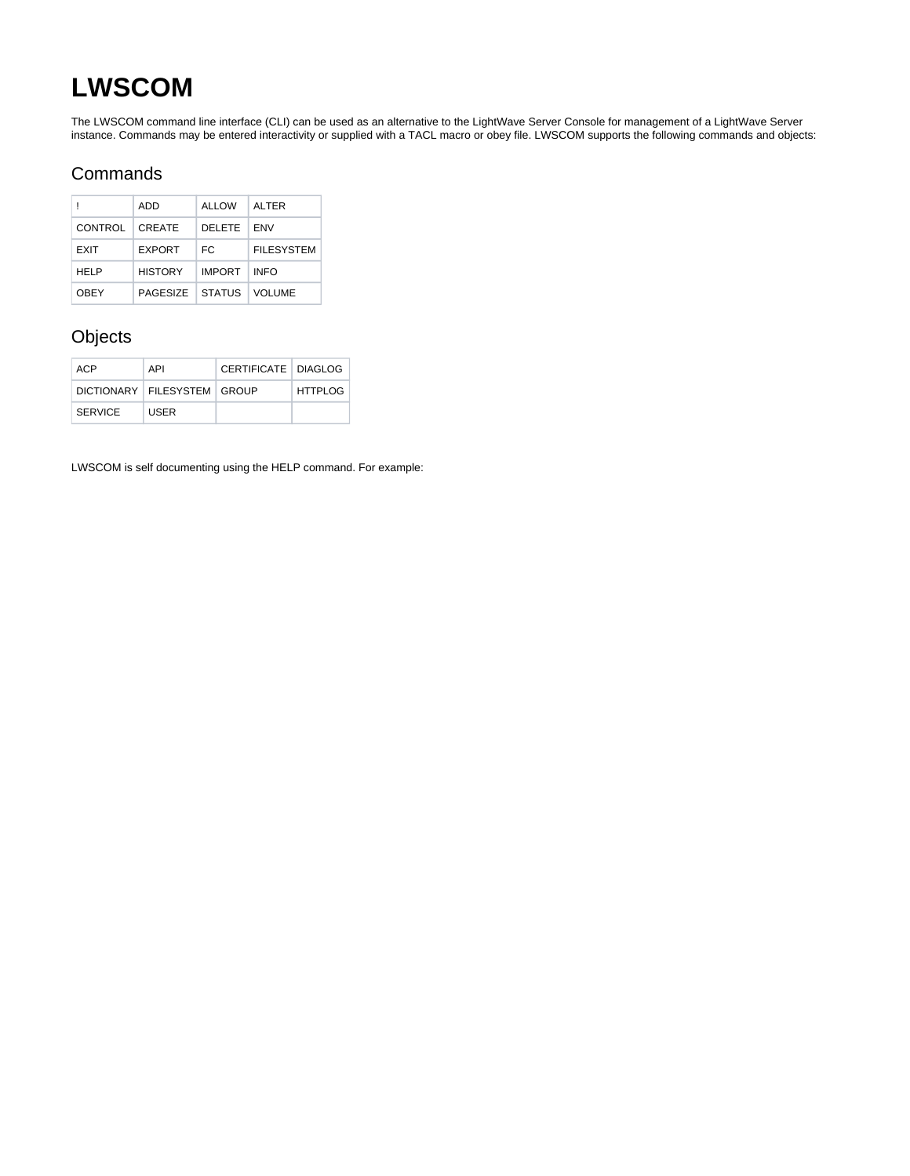## **LWSCOM**

The LWSCOM command line interface (CLI) can be used as an alternative to the LightWave Server Console for management of a LightWave Server instance. Commands may be entered interactivity or supplied with a TACL macro or obey file. LWSCOM supports the following commands and objects:

## **Commands**

|             | ADD            | ALLOW         | <b>ALTER</b>      |
|-------------|----------------|---------------|-------------------|
| CONTROL     | CREATE         | <b>DELETE</b> | FNV               |
| EXIT        | <b>EXPORT</b>  | FC.           | <b>FILESYSTEM</b> |
| <b>HELP</b> | <b>HISTORY</b> | <b>IMPORT</b> | <b>INFO</b>       |
| <b>OBEY</b> | PAGESIZE       | <b>STATUS</b> | <b>VOLUME</b>     |

## **Objects**

| ACP     | API                             | CERTIFICATE   DIAGLOG |                |
|---------|---------------------------------|-----------------------|----------------|
|         | DICTIONARY   FILESYSTEM   GROUP |                       | <b>HTTPLOG</b> |
| SERVICE | <b>USER</b>                     |                       |                |

LWSCOM is self documenting using the HELP command. For example: